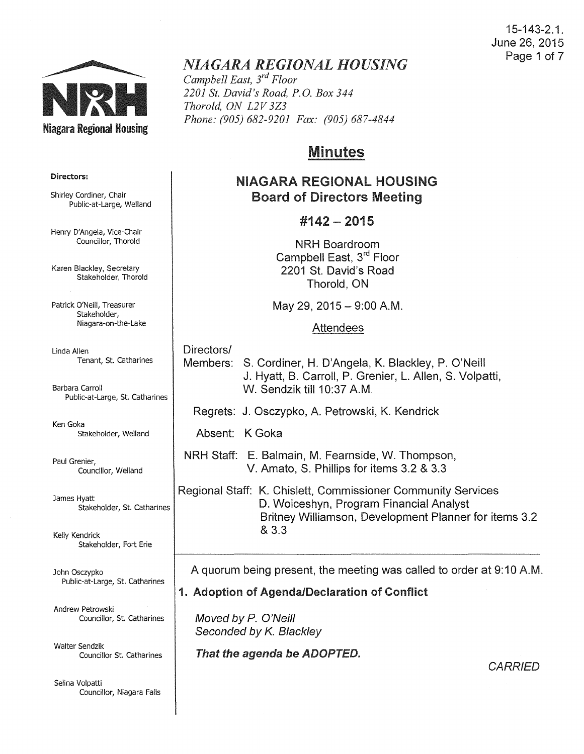15-143-2.1. June 26, 2015 Page 1 of 7



# *NIAGARA REGIONAL HOUSING*

*Campbell East, 3rd Floor 2201 St. David's Road, P.O. Box 344 Thorold, ON L2V 3Z3 Phone: (905) 682-9201 Fax: (905) 687-4844* 

# Minutes

# NIAGARA REGIONAL HOUSING Board of Directors Meeting

## #142- 2015

NRH Boardroom Campbell East, 3<sup>rd</sup> Floor 2201 St. David's Road Thorold, ON

May 29, 2015- 9:00 A.M.

#### Attendees

Directors/ Members: S. Gardiner, H. D'Angela, K. Blackley, P. O'Neill J. Hyatt, B. Carroll, P. Grenier, L. Allen, S. Volpatti, W. Sendzik till 10:37 A.M.

Regrets: J. Osczypko, A. Petrowski, K. Kendrick

Absent: K Goka

NRH Staff: E. Balmain, M. Fearnside, W. Thompson, V. Amato, S. Phillips for items 3.2 & 3.3

Regional Staff: K. Chislett, Commissioner Community Services D. Woiceshyn, Program Financial Analyst Britney Williamson, Development Planner for items 3.2 & 3.3

A quorum being present, the meeting was called to order at 9:10A.M.

# 1. Adoption of Agenda/Declaration of Conflict

Moved by P. O'Neill Seconded by K. Blackley

That the agenda be ADOPTED.

**CARRIED** 

#### Directors:

Shirley Cordiner, Chair Public-at-Large, Weiland

Henry D'Angela, Vice-Chair Councillor, Thorold

Karen Blackley, Secretary Stakeholder, Thorold

Patrick O'Neill, Treasurer Stakeholder, Niagara-on-the-Lake

Linda Allen Tenant, St. Catharines

Barbara Carroll Public-at-Large, St. Catharines

Ken Goka Stakeholder, Weiland

Paul Grenier, Councillor, Weiland

James Hyatt Stakeholder, St. Catharines

Kelly Kendrick Stakeholder, Fort Erie

John Osczypko Public-at-Large, St. Catharines

Andrew Petrowski Councillor, St. Catharines

Walter Sendzik Councillor St. Catharines

Selina Volpatti Councillor, Niagara Falls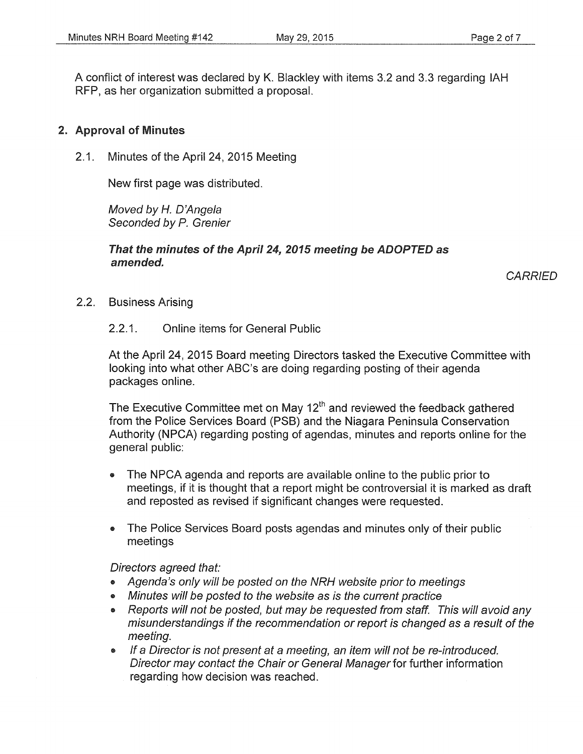A conflict of interest was declared by K. Blackley with items 3.2 and 3.3 regarding IAH RFP, as her organization submitted a proposal.

# 2. Approval of Minutes

2.1. Minutes of the April 24, 2015 Meeting

New first page was distributed.

Moved by *H.* D'Angela Seconded by P. Grenier

#### That the minutes of the April 24, 2015 meeting be ADOPTED as amended.

**CARRIED** 

2.2. Business Arising

## 2.2.1. Online items for General Public

At the April 24, 2015 Board meeting Directors tasked the Executive Committee with looking into what other ABC's are doing regarding posting of their agenda packages online.

The Executive Committee met on May  $12<sup>th</sup>$  and reviewed the feedback gathered from the Police Services Board (PSB) and the Niagara Peninsula Conservation Authority (NPCA) regarding posting of agendas, minutes and reports online for the general public:

- The NPCA agenda and reports are available online to the public prior to meetings, if it is thought that a report might be controversial it is marked as draft and reposted as revised if significant changes were requested.
- The Police Services Board posts agendas and minutes only of their public meetings

Directors agreed that:

- Agenda's only will be posted on the NRH website prior to meetings
- Minutes will be posted to the website as is the current practice
- Reports will not be posted, but may be requested from staff. This will avoid any misunderstandings if the recommendation or report is changed as a result of the meeting.
- If a Director is not present at a meeting, an item will not be re-introduced. Director may contact the Chair or General Manager for further information regarding how decision was reached.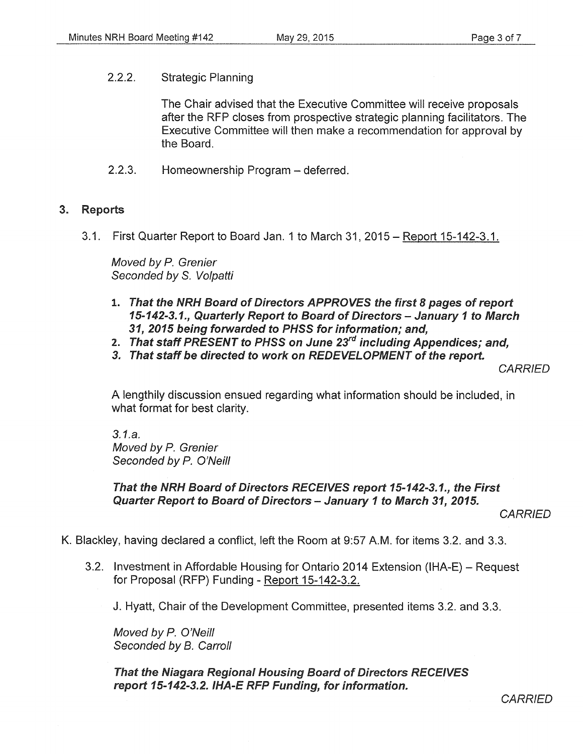2.2.2. Strategic Planning

The Chair advised that the Executive Committee will receive proposals after the RFP closes from prospective strategic planning facilitators. The Executive Committee will then make a recommendation for approval by the Board.

2.2.3. Homeownership Program - deferred.

#### 3. Reports

3.1. First Quarter Report to Board Jan. 1 to March 31, 2015- Report 15-142-3.1.

Moved by *P.* Grenier Seconded by S. Volpatti

- 1. That the NRH Board of Directors APPROVES the first 8 pages of report 15-142-3.1., Quarterly Report to Board of Directors- January 1 to March 31, 2015 being forwarded to PHSS for information; and,
- 2. That staff PRESENT to PHSS on June 23<sup>rd</sup> including Appendices; and,
- 3. That staff be directed to work on REDEVELOPMENT of the report.

**CARRIED** 

A lengthily discussion ensued regarding what information should be included, in what format for best clarity.

3.1.a. Moved by P. Grenier Seconded by P. O'Neill

That the NRH Board of Directors RECEIVES report 15-142-3.1., the First Quarter Report to Board of Directors - January 1 to March 31, 2015.

**CARRIED** 

- K. Blackley, having declared a conflict, left the Room at 9:57A.M. for items 3.2. and 3.3.
	- 3.2. Investment in Affordable Housing for Ontario 2014 Extension (IHA-E) Request for Proposal (RFP) Funding- Report 15-142-3.2.

J. Hyatt, Chair of the Development Committee, presented items 3.2. and 3.3.

Moved by *P.* O'Neill Seconded by B. Carroll

That the Niagara Regional Housing Board of Directors RECEIVES report 15-142-3.2. IHA-E RFP Funding, for information.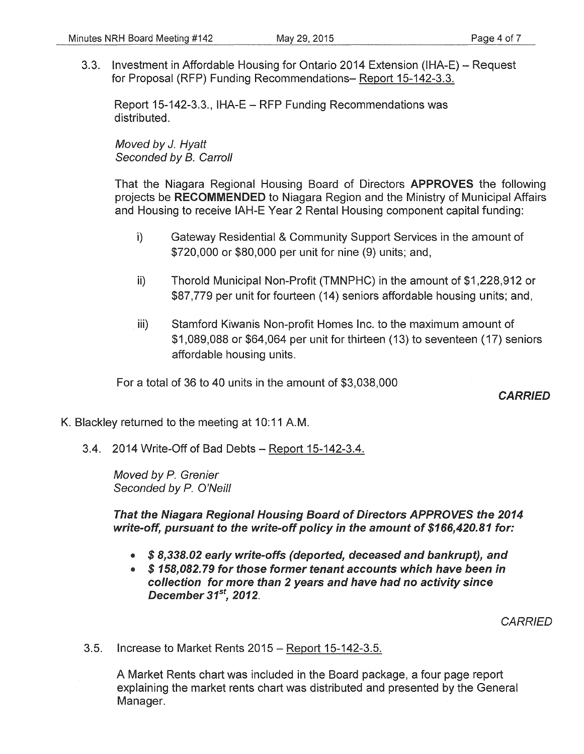3.3. Investment in Affordable Housing for Ontario 2014 Extension (IHA-E)- Request for Proposal (RFP) Funding Recommendations- Report 15-142-3.3.

Report 15-142-3.3., IHA-E- RFP Funding Recommendations was distributed.

Moved by J. Hyatt Seconded by B. Carroll

That the Niagara Regional Housing Board of Directors APPROVES the following projects be RECOMMENDED to Niagara Region and the Ministry of Municipal Affairs and Housing to receive IAH-E Year 2 Rental Housing component capital funding:

- i) Gateway Residential & Community Support Services in the amount of \$720,000 or \$80,000 per unit for nine (9) units; and,
- ii) Thorold Municipal Non-Profit (TMNPHC) in the amount of \$1,228,912 or \$87,779 per unit for fourteen (14) seniors affordable housing units; and,
- iii) Stamford Kiwanis Non-profit Homes Inc. to the maximum amount of \$1,089,088 or \$64,064 per unit for thirteen (13) to seventeen (17) seniors affordable housing units.

For a total of 36 to 40 units in the amount of \$3,038,000

**CARRIED** 

K. Blackley returned to the meeting at 10:11 A.M.

3.4. 2014 Write-Off of Bad Debts- Report 15-142-3.4.

Moved by P. Grenier Seconded by P. O'Neill

That the Niagara Regional Housing Board of Directors APPROVES the 2014 write-off, pursuant to the write-off policy in the amount of \$166,420.81 for:

- \$8,338.02 early write-offs (deported, deceased and bankrupt), and
- \$ 158,082.79 for those former tenant accounts which have been in collection for more than 2 years and have had no activity since December 31*<sup>5</sup> t,* 2012.

**CARRIED** 

3.5. Increase to Market Rents 2015- Report 15-142-3.5.

A Market Rents chart was included in the Board package, a four page report explaining the market rents chart was distributed and presented by the General Manager.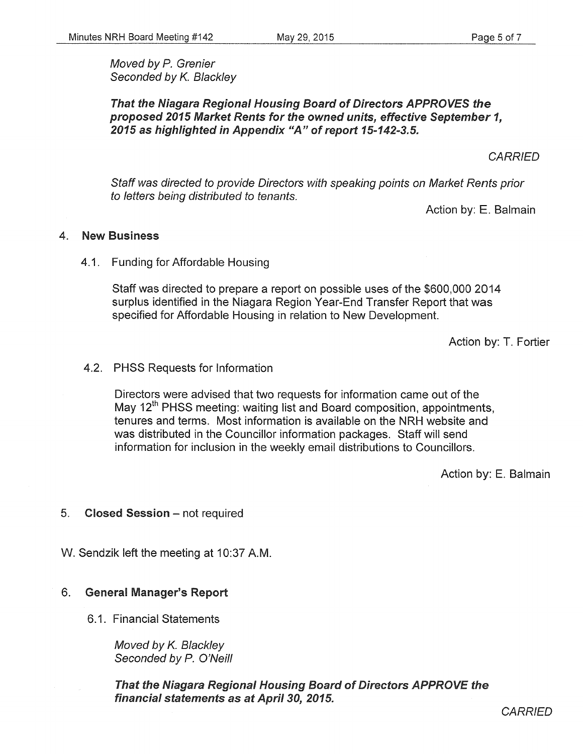#### Moved by P. Grenier Seconded by K. Blackley

That the Niagara Regional Housing Board of Directors APPROVES the proposed 2015 Market Rents for the owned units, effective September 1, 2015 as highlighted in Appendix "A" of report 15-142-3.5.

**CARRIED** 

Staff was directed to provide Directors with speaking points on Market Rents prior to letters being distributed to tenants.

Action by: E. Balmain

#### 4. New Business

4.1. Funding for Affordable Housing

Staff was directed to prepare a report on possible uses of the \$600,000 2014 surplus identified in the Niagara Region Year-End Transfer Report that was specified for Affordable Housing in relation to New Development.

Action by: T. Fortier

#### 4.2. PHSS Requests for Information

Directors were advised that two requests for information came out of the May 12<sup>th</sup> PHSS meeting: waiting list and Board composition, appointments, tenures and terms. Most information is available on the NRH website and was distributed in the Councillor information packages. Staff will send information for inclusion in the weekly email distributions to Councillors.

Action by: E. Balmain

#### 5. Closed Session - not required

W. Sendzik left the meeting at 10:37 A.M.

#### 6. General Manager's Report

6.1. Financial Statements

Moved by K. Blackley Seconded by P. O'Neill

That the Niagara Regional Housing Board of Directors APPROVE the financial statements as at April 30, 2015.

CARRIED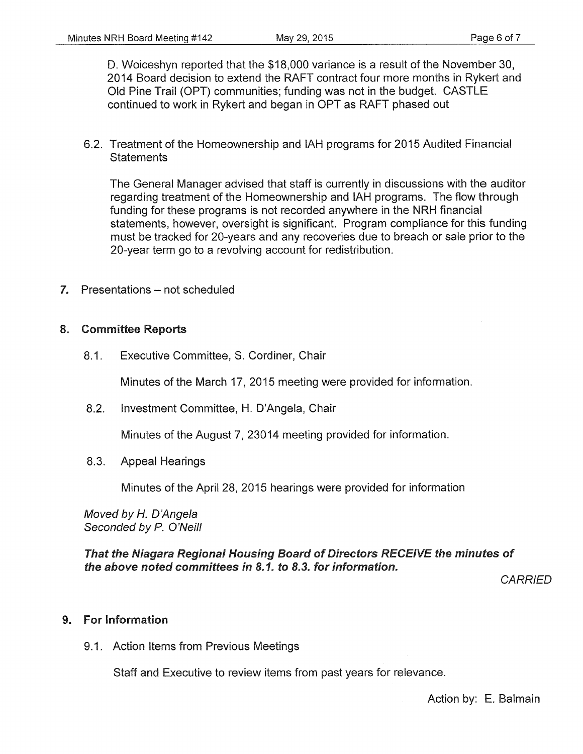D. Woiceshyn reported that the \$18,000 variance is a result of the November 30, 2014 Board decision to extend the RAFT contract four more months in Rykert and Old Pine Trail (OPT) communities; funding was not in the budget. CASTLE continued to work in Rykert and began in OPT as RAFT phased out

6.2. Treatment of the Homeownership and IAH programs for 2015 Audited Financial **Statements** 

The General Manager advised that staff is currently in discussions with the auditor regarding treatment of the Homeownership and IAH programs. The flow through funding for these programs is not recorded anywhere in the NRH financial statements, however, oversight is significant. Program compliance for this funding must be tracked for 20-years and any recoveries due to breach or sale prior to the 20-year term go to a revolving account for redistribution.

7. Presentations - not scheduled

## 8. Committee Reports

8.1. Executive Committee, S. Cordiner, Chair

Minutes of the March 17, 2015 meeting were provided for information.

8.2. Investment Committee, H. D'Angela, Chair

Minutes of the August 7, 23014 meeting provided for information.

8.3. Appeal Hearings

Minutes of the April 28, 2015 hearings were provided for information

Moved by *H.* D'Angela Seconded by P. O'Neill

That the Niagara Regional Housing Board of Directors RECEIVE the minutes of the above noted committees in 8. 1. to 8.3. for information.

**CARRIED** 

## 9. For Information

9.1. Action Items from Previous Meetings

Staff and Executive to review items from past years for relevance.